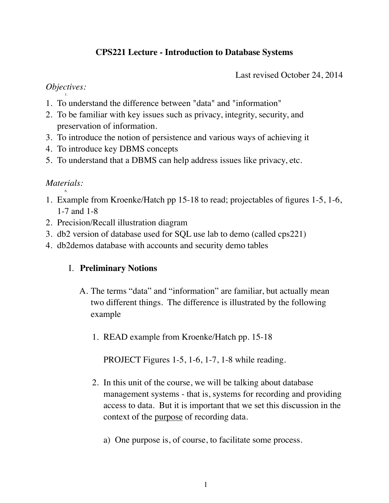# **CPS221 Lecture - Introduction to Database Systems**

Last revised October 24, 2014

#### *Objectives:* 1.

- 1. To understand the difference between "data" and "information"
- 2. To be familiar with key issues such as privacy, integrity, security, and preservation of information.
- 3. To introduce the notion of persistence and various ways of achieving it
- 4. To introduce key DBMS concepts
- 5. To understand that a DBMS can help address issues like privacy, etc.

#### *Materials:* 6.

- 1. Example from Kroenke/Hatch pp 15-18 to read; projectables of figures 1-5, 1-6, 1-7 and 1-8
- 2. Precision/Recall illustration diagram
- 3. db2 version of database used for SQL use lab to demo (called cps221)
- 4. db2demos database with accounts and security demo tables

## I. **Preliminary Notions**

- A. The terms "data" and "information" are familiar, but actually mean two different things. The difference is illustrated by the following example
	- 1. READ example from Kroenke/Hatch pp. 15-18

PROJECT Figures 1-5, 1-6, 1-7, 1-8 while reading.

- 2. In this unit of the course, we will be talking about database management systems - that is, systems for recording and providing access to data. But it is important that we set this discussion in the context of the purpose of recording data.
	- a) One purpose is, of course, to facilitate some process.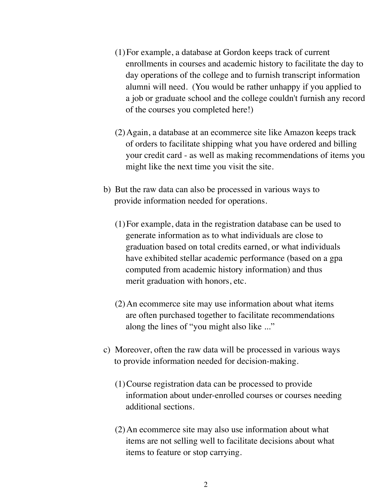- (1)For example, a database at Gordon keeps track of current enrollments in courses and academic history to facilitate the day to day operations of the college and to furnish transcript information alumni will need. (You would be rather unhappy if you applied to a job or graduate school and the college couldn't furnish any record of the courses you completed here!)
- (2)Again, a database at an ecommerce site like Amazon keeps track of orders to facilitate shipping what you have ordered and billing your credit card - as well as making recommendations of items you might like the next time you visit the site.
- b) But the raw data can also be processed in various ways to provide information needed for operations.
	- (1)For example, data in the registration database can be used to generate information as to what individuals are close to graduation based on total credits earned, or what individuals have exhibited stellar academic performance (based on a gpa computed from academic history information) and thus merit graduation with honors, etc.
	- (2)An ecommerce site may use information about what items are often purchased together to facilitate recommendations along the lines of "you might also like ..."
- c) Moreover, often the raw data will be processed in various ways to provide information needed for decision-making.
	- (1)Course registration data can be processed to provide information about under-enrolled courses or courses needing additional sections.
	- (2)An ecommerce site may also use information about what items are not selling well to facilitate decisions about what items to feature or stop carrying.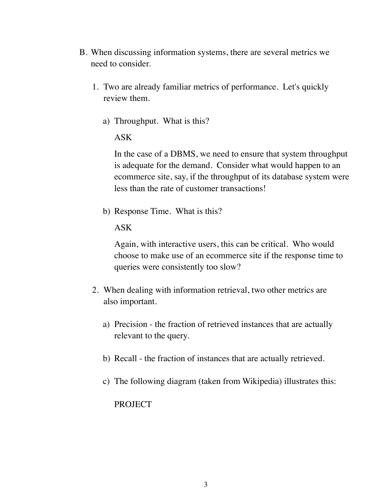- B. When discussing information systems, there are several metrics we need to consider.
	- 1. Two are already familiar metrics of performance. Let's quickly review them.
		- a) Throughput. What is this?

ASK

In the case of a DBMS, we need to ensure that system throughput is adequate for the demand. Consider what would happen to an ecommerce site, say, if the throughput of its database system were less than the rate of customer transactions!

b) Response Time. What is this?

ASK

Again, with interactive users, this can be critical. Who would choose to make use of an ecommerce site if the response time to queries were consistently too slow?

- 2. When dealing with information retrieval, two other metrics are also important.
	- a) Precision the fraction of retrieved instances that are actually relevant to the query.
	- b) Recall the fraction of instances that are actually retrieved.
	- c) The following diagram (taken from Wikipedia) illustrates this:

PROJECT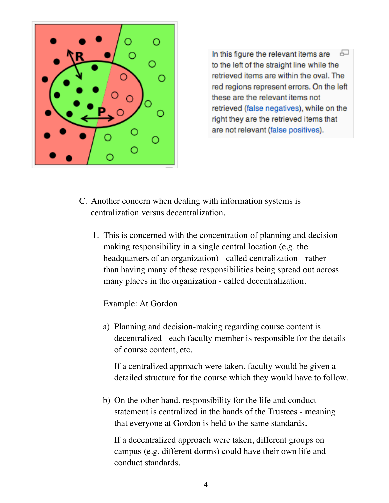

모 In this figure the relevant items are to the left of the straight line while the retrieved items are within the oval. The red regions represent errors. On the left these are the relevant items not retrieved (false negatives), while on the right they are the retrieved items that are not relevant (false positives).

- C. Another concern when dealing with information systems is centralization versus decentralization.
	- 1. This is concerned with the concentration of planning and decisionmaking responsibility in a single central location (e.g. the headquarters of an organization) - called centralization - rather than having many of these responsibilities being spread out across many places in the organization - called decentralization.

Example: At Gordon

a) Planning and decision-making regarding course content is decentralized - each faculty member is responsible for the details of course content, etc.

If a centralized approach were taken, faculty would be given a detailed structure for the course which they would have to follow.

b) On the other hand, responsibility for the life and conduct statement is centralized in the hands of the Trustees - meaning that everyone at Gordon is held to the same standards.

If a decentralized approach were taken, different groups on campus (e.g. different dorms) could have their own life and conduct standards.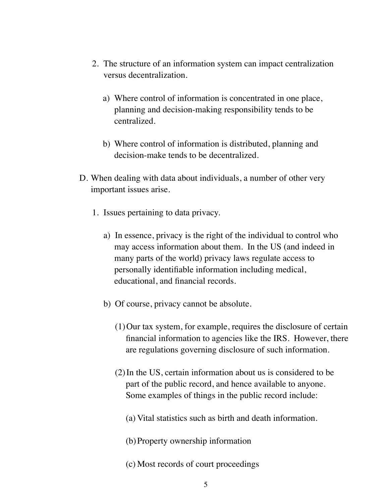- 2. The structure of an information system can impact centralization versus decentralization.
	- a) Where control of information is concentrated in one place, planning and decision-making responsibility tends to be centralized.
	- b) Where control of information is distributed, planning and decision-make tends to be decentralized.
- D. When dealing with data about individuals, a number of other very important issues arise.
	- 1. Issues pertaining to data privacy.
		- a) In essence, privacy is the right of the individual to control who may access information about them. In the US (and indeed in many parts of the world) privacy laws regulate access to personally identifiable information including medical, educational, and financial records.
		- b) Of course, privacy cannot be absolute.
			- (1)Our tax system, for example, requires the disclosure of certain financial information to agencies like the IRS. However, there are regulations governing disclosure of such information.
			- (2)In the US, certain information about us is considered to be part of the public record, and hence available to anyone. Some examples of things in the public record include:
				- (a) Vital statistics such as birth and death information.
				- (b)Property ownership information
				- (c) Most records of court proceedings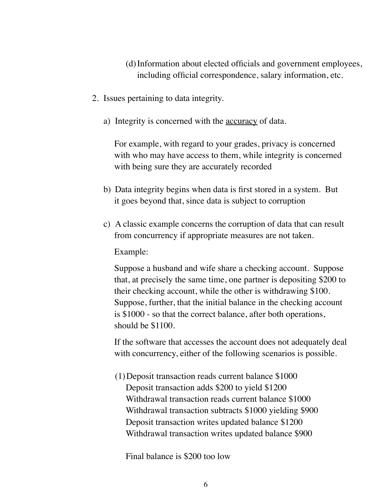- (d)Information about elected officials and government employees, including official correspondence, salary information, etc.
- 2. Issues pertaining to data integrity.
	- a) Integrity is concerned with the accuracy of data.

For example, with regard to your grades, privacy is concerned with who may have access to them, while integrity is concerned with being sure they are accurately recorded

- b) Data integrity begins when data is first stored in a system. But it goes beyond that, since data is subject to corruption
- c) A classic example concerns the corruption of data that can result from concurrency if appropriate measures are not taken.

Example:

Suppose a husband and wife share a checking account. Suppose that, at precisely the same time, one partner is depositing \$200 to their checking account, while the other is withdrawing \$100. Suppose, further, that the initial balance in the checking account is \$1000 - so that the correct balance, after both operations, should be \$1100.

If the software that accesses the account does not adequately deal with concurrency, either of the following scenarios is possible.

(1)Deposit transaction reads current balance \$1000 Deposit transaction adds \$200 to yield \$1200 Withdrawal transaction reads current balance \$1000 Withdrawal transaction subtracts \$1000 yielding \$900 Deposit transaction writes updated balance \$1200 Withdrawal transaction writes updated balance \$900

Final balance is \$200 too low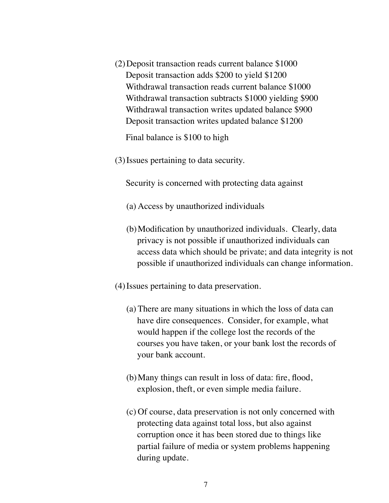(2)Deposit transaction reads current balance \$1000 Deposit transaction adds \$200 to yield \$1200 Withdrawal transaction reads current balance \$1000 Withdrawal transaction subtracts \$1000 yielding \$900 Withdrawal transaction writes updated balance \$900 Deposit transaction writes updated balance \$1200

Final balance is \$100 to high

(3)Issues pertaining to data security.

Security is concerned with protecting data against

- (a) Access by unauthorized individuals
- (b)Modification by unauthorized individuals. Clearly, data privacy is not possible if unauthorized individuals can access data which should be private; and data integrity is not possible if unauthorized individuals can change information.
- (4)Issues pertaining to data preservation.
	- (a) There are many situations in which the loss of data can have dire consequences. Consider, for example, what would happen if the college lost the records of the courses you have taken, or your bank lost the records of your bank account.
	- (b)Many things can result in loss of data: fire, flood, explosion, theft, or even simple media failure.
	- (c) Of course, data preservation is not only concerned with protecting data against total loss, but also against corruption once it has been stored due to things like partial failure of media or system problems happening during update.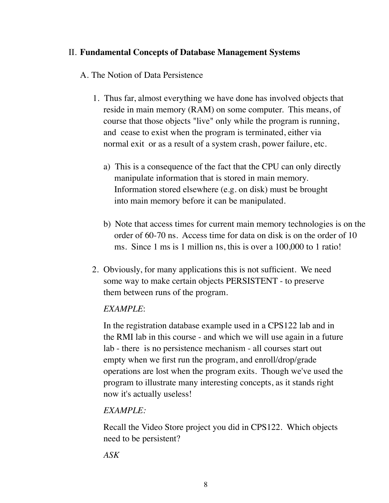## II. **Fundamental Concepts of Database Management Systems**

## A. The Notion of Data Persistence

- 1. Thus far, almost everything we have done has involved objects that reside in main memory (RAM) on some computer. This means, of course that those objects "live" only while the program is running, and cease to exist when the program is terminated, either via normal exit or as a result of a system crash, power failure, etc.
	- a) This is a consequence of the fact that the CPU can only directly manipulate information that is stored in main memory. Information stored elsewhere (e.g. on disk) must be brought into main memory before it can be manipulated.
	- b) Note that access times for current main memory technologies is on the order of 60-70 ns. Access time for data on disk is on the order of 10 ms. Since 1 ms is 1 million ns, this is over a 100,000 to 1 ratio!
- 2. Obviously, for many applications this is not sufficient. We need some way to make certain objects PERSISTENT - to preserve them between runs of the program.

## *EXAMPLE*:

In the registration database example used in a CPS122 lab and in the RMI lab in this course - and which we will use again in a future lab - there is no persistence mechanism - all courses start out empty when we first run the program, and enroll/drop/grade operations are lost when the program exits. Though we've used the program to illustrate many interesting concepts, as it stands right now it's actually useless!

# *EXAMPLE:*

Recall the Video Store project you did in CPS122. Which objects need to be persistent?

*ASK*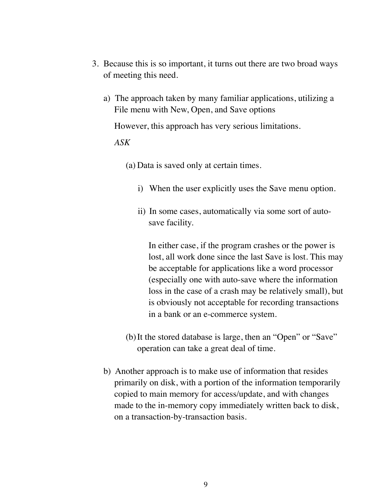- 3. Because this is so important, it turns out there are two broad ways of meeting this need.
	- a) The approach taken by many familiar applications, utilizing a File menu with New, Open, and Save options

However, this approach has very serious limitations.

#### *ASK*

(a) Data is saved only at certain times.

- i) When the user explicitly uses the Save menu option.
- ii) In some cases, automatically via some sort of autosave facility.

In either case, if the program crashes or the power is lost, all work done since the last Save is lost. This may be acceptable for applications like a word processor (especially one with auto-save where the information loss in the case of a crash may be relatively small), but is obviously not acceptable for recording transactions in a bank or an e-commerce system.

- (b)It the stored database is large, then an "Open" or "Save" operation can take a great deal of time.
- b) Another approach is to make use of information that resides primarily on disk, with a portion of the information temporarily copied to main memory for access/update, and with changes made to the in-memory copy immediately written back to disk, on a transaction-by-transaction basis.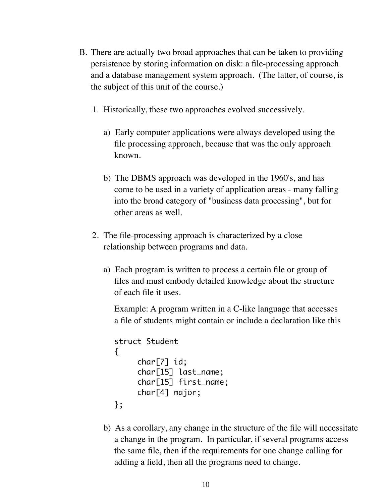- B. There are actually two broad approaches that can be taken to providing persistence by storing information on disk: a file-processing approach and a database management system approach. (The latter, of course, is the subject of this unit of the course.)
	- 1. Historically, these two approaches evolved successively.
		- a) Early computer applications were always developed using the file processing approach, because that was the only approach known.
		- b) The DBMS approach was developed in the 1960's, and has come to be used in a variety of application areas - many falling into the broad category of "business data processing", but for other areas as well.
	- 2. The file-processing approach is characterized by a close relationship between programs and data.
		- a) Each program is written to process a certain file or group of files and must embody detailed knowledge about the structure of each file it uses.

Example: A program written in a C-like language that accesses a file of students might contain or include a declaration like this

```
struct Student
{
     char[7] id;
     char[15] last_name;
     char[15] first_name;
     char[4] major;
};
```
b) As a corollary, any change in the structure of the file will necessitate a change in the program. In particular, if several programs access the same file, then if the requirements for one change calling for adding a field, then all the programs need to change.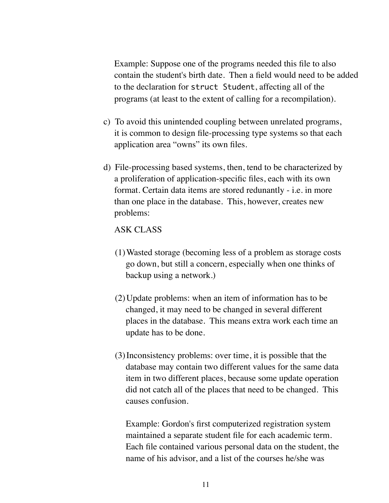Example: Suppose one of the programs needed this file to also contain the student's birth date. Then a field would need to be added to the declaration for struct Student, affecting all of the programs (at least to the extent of calling for a recompilation).

- c) To avoid this unintended coupling between unrelated programs, it is common to design file-processing type systems so that each application area "owns" its own files.
- d) File-processing based systems, then, tend to be characterized by a proliferation of application-specific files, each with its own format. Certain data items are stored redunantly - i.e. in more than one place in the database. This, however, creates new problems:

### ASK CLASS

- (1)Wasted storage (becoming less of a problem as storage costs go down, but still a concern, especially when one thinks of backup using a network.)
- (2)Update problems: when an item of information has to be changed, it may need to be changed in several different places in the database. This means extra work each time an update has to be done.
- (3)Inconsistency problems: over time, it is possible that the database may contain two different values for the same data item in two different places, because some update operation did not catch all of the places that need to be changed. This causes confusion.

Example: Gordon's first computerized registration system maintained a separate student file for each academic term. Each file contained various personal data on the student, the name of his advisor, and a list of the courses he/she was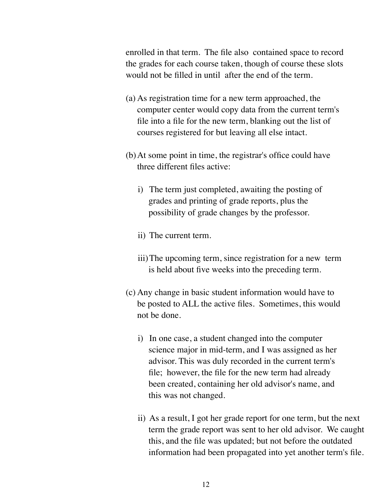enrolled in that term. The file also contained space to record the grades for each course taken, though of course these slots would not be filled in until after the end of the term.

- (a) As registration time for a new term approached, the computer center would copy data from the current term's file into a file for the new term, blanking out the list of courses registered for but leaving all else intact.
- (b)At some point in time, the registrar's office could have three different files active:
	- i) The term just completed, awaiting the posting of grades and printing of grade reports, plus the possibility of grade changes by the professor.
	- ii) The current term.
	- iii)The upcoming term, since registration for a new term is held about five weeks into the preceding term.
- (c) Any change in basic student information would have to be posted to ALL the active files. Sometimes, this would not be done.
	- i) In one case, a student changed into the computer science major in mid-term, and I was assigned as her advisor. This was duly recorded in the current term's file; however, the file for the new term had already been created, containing her old advisor's name, and this was not changed.
	- ii) As a result, I got her grade report for one term, but the next term the grade report was sent to her old advisor. We caught this, and the file was updated; but not before the outdated information had been propagated into yet another term's file.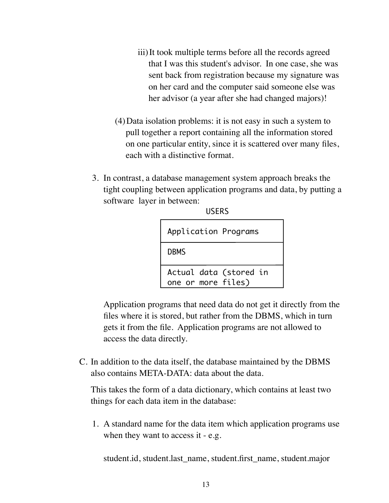- iii)It took multiple terms before all the records agreed that I was this student's advisor. In one case, she was sent back from registration because my signature was on her card and the computer said someone else was her advisor (a year after she had changed majors)!
- (4)Data isolation problems: it is not easy in such a system to pull together a report containing all the information stored on one particular entity, since it is scattered over many files, each with a distinctive format.
- 3. In contrast, a database management system approach breaks the tight coupling between application programs and data, by putting a software layer in between:

**USEDS** 

| u ji nij                                     |  |  |
|----------------------------------------------|--|--|
| Application Programs                         |  |  |
| <b>DBMS</b>                                  |  |  |
| Actual data (stored in<br>one or more files) |  |  |

Application programs that need data do not get it directly from the files where it is stored, but rather from the DBMS, which in turn gets it from the file. Application programs are not allowed to access the data directly.

C. In addition to the data itself, the database maintained by the DBMS also contains META-DATA: data about the data.

This takes the form of a data dictionary, which contains at least two things for each data item in the database:

1. A standard name for the data item which application programs use when they want to access it - e.g.

student.id, student.last\_name, student.first\_name, student.major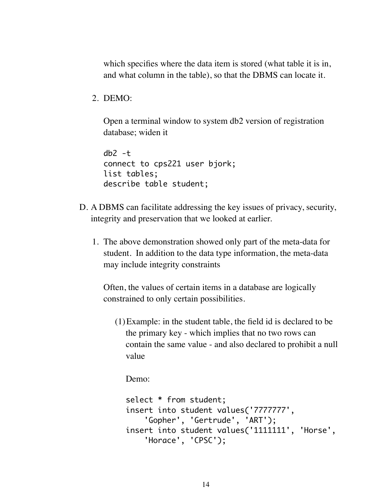which specifies where the data item is stored (what table it is in, and what column in the table), so that the DBMS can locate it.

2. DEMO:

Open a terminal window to system db2 version of registration database; widen it

```
db2 - tconnect to cps221 user bjork;
list tables;
describe table student;
```
- D. A DBMS can facilitate addressing the key issues of privacy, security, integrity and preservation that we looked at earlier.
	- 1. The above demonstration showed only part of the meta-data for student. In addition to the data type information, the meta-data may include integrity constraints

Often, the values of certain items in a database are logically constrained to only certain possibilities.

(1)Example: in the student table, the field id is declared to be the primary key - which implies that no two rows can contain the same value - and also declared to prohibit a null value

Demo:

```
select * from student;
insert into student values('7777777', 
     'Gopher', 'Gertrude', 'ART');
insert into student values('1111111', 'Horse',
     'Horace', 'CPSC');
```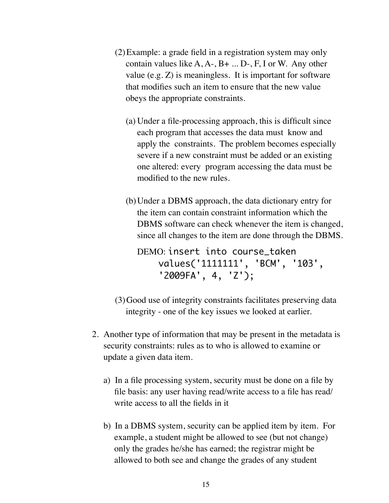- (2)Example: a grade field in a registration system may only contain values like  $A, A-, B+, \ldots, D-, F, I$  or W. Any other value (e.g. Z) is meaningless. It is important for software that modifies such an item to ensure that the new value obeys the appropriate constraints.
	- (a) Under a file-processing approach, this is difficult since each program that accesses the data must know and apply the constraints. The problem becomes especially severe if a new constraint must be added or an existing one altered: every program accessing the data must be modified to the new rules.
	- (b)Under a DBMS approach, the data dictionary entry for the item can contain constraint information which the DBMS software can check whenever the item is changed, since all changes to the item are done through the DBMS.

DEMO: insert into course\_taken values('1111111', 'BCM', '103', '2009FA', 4, 'Z');

- (3)Good use of integrity constraints facilitates preserving data integrity - one of the key issues we looked at earlier.
- 2. Another type of information that may be present in the metadata is security constraints: rules as to who is allowed to examine or update a given data item.
	- a) In a file processing system, security must be done on a file by file basis: any user having read/write access to a file has read/ write access to all the fields in it
	- b) In a DBMS system, security can be applied item by item. For example, a student might be allowed to see (but not change) only the grades he/she has earned; the registrar might be allowed to both see and change the grades of any student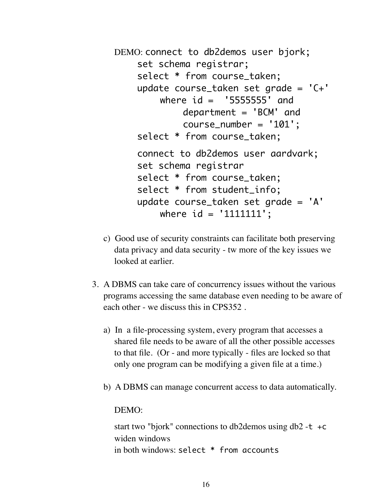```
DEMO: connect to db2demos user bjork;
    set schema registrar;
    select * from course_taken;
    update course_taken set grade = 'C+' 
        where id = '5555555' and
             department = 'BCM' and
             	 	 course_number = '101';
    select * from course_taken;
    connect to db2demos user aardvark;
    set schema registrar
    select * from course_taken;
    select * from student_info;
    update course_taken set grade = 'A'
        	 	 where id = '1111111';
```
- c) Good use of security constraints can facilitate both preserving data privacy and data security - tw more of the key issues we looked at earlier.
- 3. A DBMS can take care of concurrency issues without the various programs accessing the same database even needing to be aware of each other - we discuss this in CPS352 .
	- a) In a file-processing system, every program that accesses a shared file needs to be aware of all the other possible accesses to that file. (Or - and more typically - files are locked so that only one program can be modifying a given file at a time.)
	- b) A DBMS can manage concurrent access to data automatically.

#### DEMO:

start two "bjork" connections to db2demos using  $db2 - t + c$ widen windows in both windows: select \* from accounts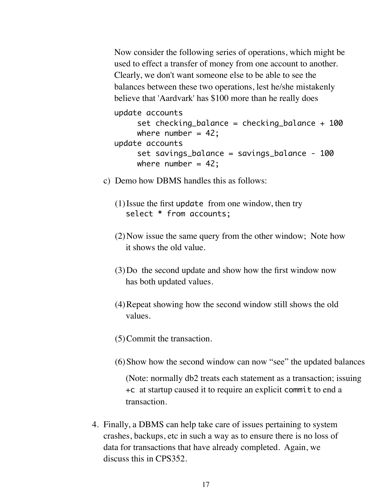Now consider the following series of operations, which might be used to effect a transfer of money from one account to another. Clearly, we don't want someone else to be able to see the balances between these two operations, lest he/she mistakenly believe that 'Aardvark' has \$100 more than he really does

update accounts set checking\_balance = checking\_balance + 100 where number =  $42$ ; update accounts set savings\_balance = savings\_balance - 100 where number =  $42$ ;

- c) Demo how DBMS handles this as follows:
	- (1)Issue the first update from one window, then try select \* from accounts;
	- (2)Now issue the same query from the other window; Note how it shows the old value.
	- (3)Do the second update and show how the first window now has both updated values.
	- (4)Repeat showing how the second window still shows the old values.
	- (5)Commit the transaction.
	- (6)Show how the second window can now "see" the updated balances

(Note: normally db2 treats each statement as a transaction; issuing +c at startup caused it to require an explicit commit to end a transaction.

4. Finally, a DBMS can help take care of issues pertaining to system crashes, backups, etc in such a way as to ensure there is no loss of data for transactions that have already completed. Again, we discuss this in CPS352.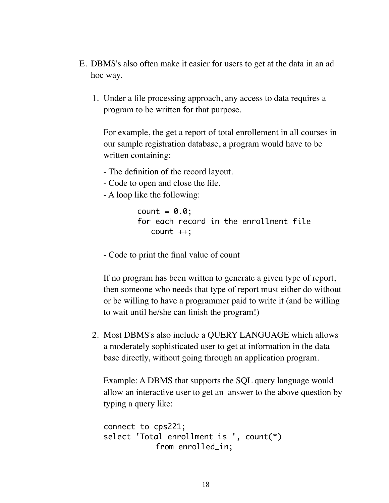- E. DBMS's also often make it easier for users to get at the data in an ad hoc way.
	- 1. Under a file processing approach, any access to data requires a program to be written for that purpose.

For example, the get a report of total enrollement in all courses in our sample registration database, a program would have to be written containing:

- The definition of the record layout.
- Code to open and close the file.
- A loop like the following:

```
count = 0.0;
for each record in the enrollment file
    count ++;
```
- Code to print the final value of count

If no program has been written to generate a given type of report, then someone who needs that type of report must either do without or be willing to have a programmer paid to write it (and be willing to wait until he/she can finish the program!)

2. Most DBMS's also include a QUERY LANGUAGE which allows a moderately sophisticated user to get at information in the data base directly, without going through an application program.

Example: A DBMS that supports the SQL query language would allow an interactive user to get an answer to the above question by typing a query like:

```
connect to cps221;
select 'Total enrollment is ', count(*)
            from enrolled_in;
```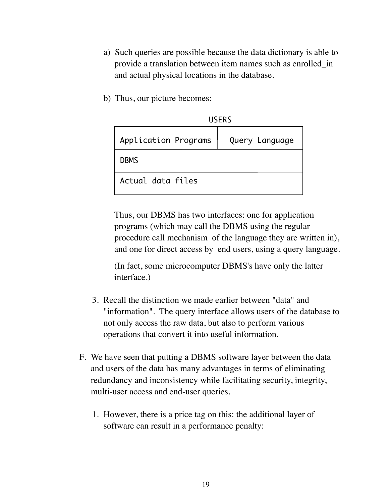- a) Such queries are possible because the data dictionary is able to provide a translation between item names such as enrolled\_in and actual physical locations in the database.
- b) Thus, our picture becomes:

| <b>USERS</b>         |                |
|----------------------|----------------|
| Application Programs | Query Language |
| <b>DBMS</b>          |                |
| Actual data files    |                |

Thus, our DBMS has two interfaces: one for application programs (which may call the DBMS using the regular procedure call mechanism of the language they are written in), and one for direct access by end users, using a query language.

(In fact, some microcomputer DBMS's have only the latter interface.)

- 3. Recall the distinction we made earlier between "data" and "information". The query interface allows users of the database to not only access the raw data, but also to perform various operations that convert it into useful information.
- F. We have seen that putting a DBMS software layer between the data and users of the data has many advantages in terms of eliminating redundancy and inconsistency while facilitating security, integrity, multi-user access and end-user queries.
	- 1. However, there is a price tag on this: the additional layer of software can result in a performance penalty: